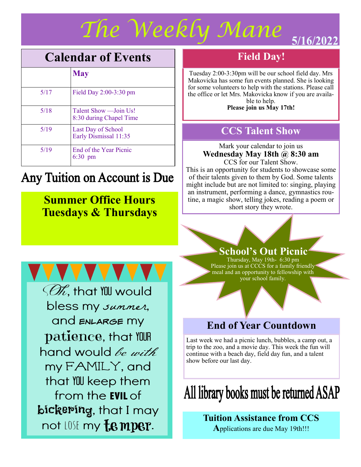## *The Weekly Mane*  5/16/2022

## **Calendar of Events**

|      | <b>May</b>                                        |
|------|---------------------------------------------------|
| 5/17 | Field Day $2:00-3:30$ pm                          |
| 5/18 | Talent Show — Join Us!<br>8:30 during Chapel Time |
| 5/19 | Last Day of School<br>Early Dismissal 11:35       |
| 5/19 | End of the Year Picnic<br>6:30<br>pm              |

## Any Tuition on Account is Due

## **Summer Office Hours Tuesdays & Thursdays**

## **Field Day!**

Tuesday 2:00-3:30pm will be our school field day. Mrs Makovicka has some fun events planned. She is looking for some volunteers to help with the stations. Please call the office or let Mrs. Makovicka know if you are available to help.

**Please join us May 17th!**

## **CCS Talent Show**

Mark your calendar to join us **Wednesday May 18th @ 8:30 am**  CCS for our Talent Show.

This is an opportunity for students to showcase some of their talents given to them by God. Some talents might include but are not limited to: singing, playing an instrument, performing a dance, gymnastics routine, a magic show, telling jokes, reading a poem or short story they wrote.

*SOR*, that YOU would bless my *summer*, and ENLARGE MY patience, that YOUR hand would *be with* my FAMILY, and that YOU keep them from the **EVIL** of

bickering, that I may not LOSE my **f.e mper.** 

### **School's Out Picnic**

Thursday, May 19th- 6:30 pm Please join us at CCCS for a family friendly meal and an opportunity to fellowship with your school family.

## **End of Year Countdown**

Last week we had a picnic lunch, bubbles, a camp out, a trip to the zoo, and a movie day. This week the fun will continue with a beach day, field day fun, and a talent show before our last day.

# All library books must be returned ASAP

#### **Tuition Assistance from CCS A**pplications are due May 19th!!!